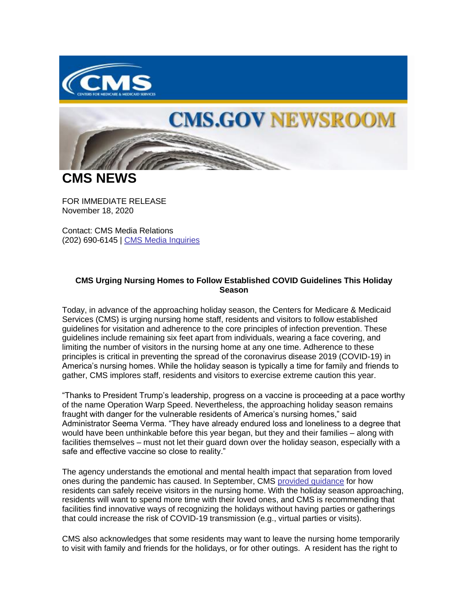

## **CMS.GOV NEWSROOM**

**CMS NEWS**

FOR IMMEDIATE RELEASE November 18, 2020

Contact: CMS Media Relations (202) 690-6145 | [CMS Media Inquiries](https://lnks.gd/l/eyJhbGciOiJIUzI1NiJ9.eyJidWxsZXRpbl9saW5rX2lkIjoxMDAsInVyaSI6ImJwMjpjbGljayIsImJ1bGxldGluX2lkIjoiMjAyMDExMTguMzA3MjE4ODEiLCJ1cmwiOiJodHRwczovL3d3dy5jbXMuZ292L25ld3Nyb29tL21lZGlhLWlucXVpcmllcyJ9.2wmrGGgexdCn7hJh31CqrJmBNxppcwMa_A9xVIb7Nl0/s/1086872215/br/90037680712-l)

## **CMS Urging Nursing Homes to Follow Established COVID Guidelines This Holiday Season**

Today, in advance of the approaching holiday season, the Centers for Medicare & Medicaid Services (CMS) is urging nursing home staff, residents and visitors to follow established guidelines for visitation and adherence to the core principles of infection prevention. These guidelines include remaining six feet apart from individuals, wearing a face covering, and limiting the number of visitors in the nursing home at any one time. Adherence to these principles is critical in preventing the spread of the coronavirus disease 2019 (COVID-19) in America's nursing homes. While the holiday season is typically a time for family and friends to gather, CMS implores staff, residents and visitors to exercise extreme caution this year.

"Thanks to President Trump's leadership, progress on a vaccine is proceeding at a pace worthy of the name Operation Warp Speed. Nevertheless, the approaching holiday season remains fraught with danger for the vulnerable residents of America's nursing homes," said Administrator Seema Verma. "They have already endured loss and loneliness to a degree that would have been unthinkable before this year began, but they and their families – along with facilities themselves – must not let their guard down over the holiday season, especially with a safe and effective vaccine so close to reality."

The agency understands the emotional and mental health impact that separation from loved ones during the pandemic has caused. In September, CMS [provided guidance](https://lnks.gd/l/eyJhbGciOiJIUzI1NiJ9.eyJidWxsZXRpbl9saW5rX2lkIjoxMDEsInVyaSI6ImJwMjpjbGljayIsImJ1bGxldGluX2lkIjoiMjAyMDExMTguMzA3MjE4ODEiLCJ1cmwiOiJodHRwczovL3d3dy5jbXMuZ292L2ZpbGVzL2RvY3VtZW50L3Fzby0yMC0zOS1uaC5wZGYifQ.T70zICuy06A_DU9HvHvUTdvCm0sO-HIt1_UN7l35pZk/s/1086872215/br/90037680712-l) for how residents can safely receive visitors in the nursing home. With the holiday season approaching, residents will want to spend more time with their loved ones, and CMS is recommending that facilities find innovative ways of recognizing the holidays without having parties or gatherings that could increase the risk of COVID-19 transmission (e.g., virtual parties or visits).

CMS also acknowledges that some residents may want to leave the nursing home temporarily to visit with family and friends for the holidays, or for other outings. A resident has the right to